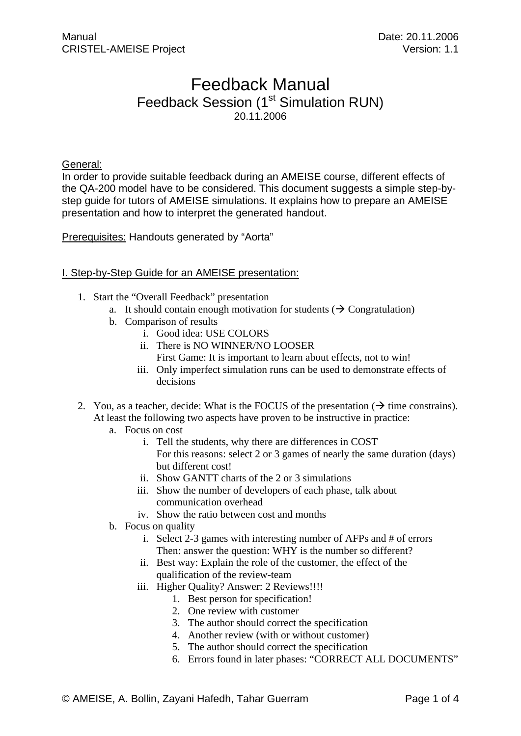# Feedback Manual Feedback Session (1<sup>st</sup> Simulation RUN) 20.11.2006

General:

In order to provide suitable feedback during an AMEISE course, different effects of the QA-200 model have to be considered. This document suggests a simple step-bystep guide for tutors of AMEISE simulations. It explains how to prepare an AMEISE presentation and how to interpret the generated handout.

Prerequisites: Handouts generated by "Aorta"

## I. Step-by-Step Guide for an AMEISE presentation:

- 1. Start the "Overall Feedback" presentation
	- a. It should contain enough motivation for students  $(\rightarrow$  Congratulation)
	- b. Comparison of results
		- i. Good idea: USE COLORS
		- ii. There is NO WINNER/NO LOOSER
			- First Game: It is important to learn about effects, not to win!
		- iii. Only imperfect simulation runs can be used to demonstrate effects of decisions
- 2. You, as a teacher, decide: What is the FOCUS of the presentation  $(\rightarrow$  time constrains). At least the following two aspects have proven to be instructive in practice:
	- a. Focus on cost
		- i. Tell the students, why there are differences in COST For this reasons: select 2 or 3 games of nearly the same duration (days)
			- but different cost!
		- ii. Show GANTT charts of the 2 or 3 simulations
		- iii. Show the number of developers of each phase, talk about communication overhead
		- iv. Show the ratio between cost and months
	- b. Focus on quality
		- i. Select 2-3 games with interesting number of AFPs and # of errors Then: answer the question: WHY is the number so different?
		- ii. Best way: Explain the role of the customer, the effect of the qualification of the review-team
		- iii. Higher Quality? Answer: 2 Reviews!!!!
			- 1. Best person for specification!
			- 2. One review with customer
			- 3. The author should correct the specification
			- 4. Another review (with or without customer)
			- 5. The author should correct the specification
			- 6. Errors found in later phases: "CORRECT ALL DOCUMENTS"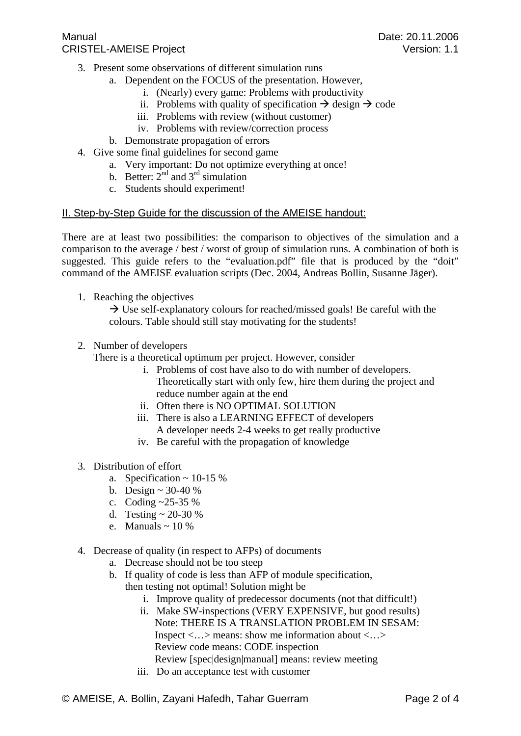## Manual Date: 20.11.2006 CRISTEL-AMEISE Project **Version: 1.1**

- 3. Present some observations of different simulation runs
	- a. Dependent on the FOCUS of the presentation. However,
		- i. (Nearly) every game: Problems with productivity
		- ii. Problems with quality of specification  $\rightarrow$  design  $\rightarrow$  code
		- iii. Problems with review (without customer)
		- iv. Problems with review/correction process
	- b. Demonstrate propagation of errors
- 4. Give some final guidelines for second game
	- a. Very important: Do not optimize everything at once!
	- b. Better:  $2^{nd}$  and  $3^{rd}$  simulation
	- c. Students should experiment!

### II. Step-by-Step Guide for the discussion of the AMEISE handout:

There are at least two possibilities: the comparison to objectives of the simulation and a comparison to the average / best / worst of group of simulation runs. A combination of both is suggested. This guide refers to the "evaluation.pdf" file that is produced by the "doit" command of the AMEISE evaluation scripts (Dec. 2004, Andreas Bollin, Susanne Jäger).

1. Reaching the objectives

 $\rightarrow$  Use self-explanatory colours for reached/missed goals! Be careful with the colours. Table should still stay motivating for the students!

2. Number of developers

There is a theoretical optimum per project. However, consider

- i. Problems of cost have also to do with number of developers. Theoretically start with only few, hire them during the project and reduce number again at the end
- ii. Often there is NO OPTIMAL SOLUTION
- iii. There is also a LEARNING EFFECT of developers A developer needs 2-4 weeks to get really productive
- iv. Be careful with the propagation of knowledge
- 3. Distribution of effort
	- a. Specification  $\sim$  10-15 %
	- b. Design  $\sim$  30-40 %
	- c. Coding ~25-35 %
	- d. Testing  $\sim$  20-30 %
	- e. Manuals  $\sim$  10 %
- 4. Decrease of quality (in respect to AFPs) of documents
	- a. Decrease should not be too steep
	- b. If quality of code is less than AFP of module specification, then testing not optimal! Solution might be
		- i. Improve quality of predecessor documents (not that difficult!)
		- ii. Make SW-inspections (VERY EXPENSIVE, but good results) Note: THERE IS A TRANSLATION PROBLEM IN SESAM: Inspect  $\langle \ldots \rangle$  means: show me information about  $\langle \ldots \rangle$ Review code means: CODE inspection Review [spec|design|manual] means: review meeting
		- iii. Do an acceptance test with customer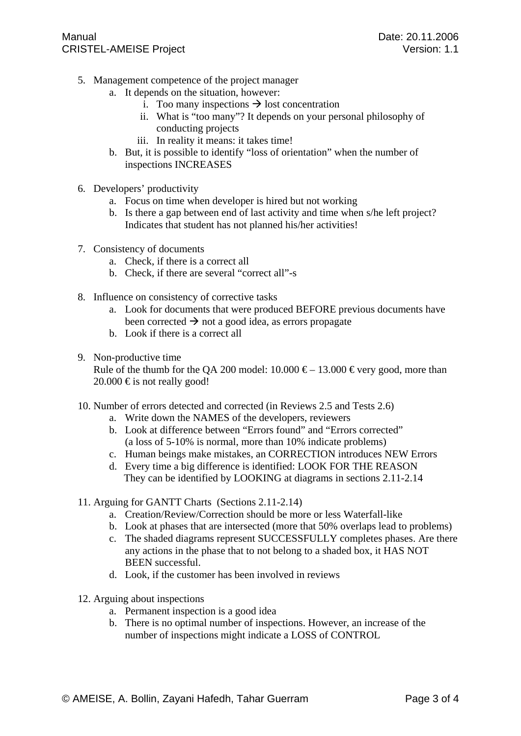- 5. Management competence of the project manager
	- a. It depends on the situation, however:
		- i. Too many inspections  $\rightarrow$  lost concentration
		- ii. What is "too many"? It depends on your personal philosophy of conducting projects
		- iii. In reality it means: it takes time!
	- b. But, it is possible to identify "loss of orientation" when the number of inspections INCREASES
- 6. Developers' productivity
	- a. Focus on time when developer is hired but not working
	- b. Is there a gap between end of last activity and time when s/he left project? Indicates that student has not planned his/her activities!
- 7. Consistency of documents
	- a. Check, if there is a correct all
	- b. Check, if there are several "correct all"-s
- 8. Influence on consistency of corrective tasks
	- a. Look for documents that were produced BEFORE previous documents have been corrected  $\rightarrow$  not a good idea, as errors propagate
	- b. Look if there is a correct all
- 9. Non-productive time

Rule of the thumb for the QA 200 model:  $10.000 \text{ } \infty - 13.000 \text{ } \infty$  every good, more than 20.000  $\epsilon$  is not really good!

- 10. Number of errors detected and corrected (in Reviews 2.5 and Tests 2.6)
	- a. Write down the NAMES of the developers, reviewers
	- b. Look at difference between "Errors found" and "Errors corrected" (a loss of 5-10% is normal, more than 10% indicate problems)
	- c. Human beings make mistakes, an CORRECTION introduces NEW Errors
	- d. Every time a big difference is identified: LOOK FOR THE REASON They can be identified by LOOKING at diagrams in sections 2.11-2.14
- 11. Arguing for GANTT Charts (Sections 2.11-2.14)
	- a. Creation/Review/Correction should be more or less Waterfall-like
	- b. Look at phases that are intersected (more that 50% overlaps lead to problems)
	- c. The shaded diagrams represent SUCCESSFULLY completes phases. Are there any actions in the phase that to not belong to a shaded box, it HAS NOT BEEN successful.
	- d. Look, if the customer has been involved in reviews
- 12. Arguing about inspections
	- a. Permanent inspection is a good idea
	- b. There is no optimal number of inspections. However, an increase of the number of inspections might indicate a LOSS of CONTROL